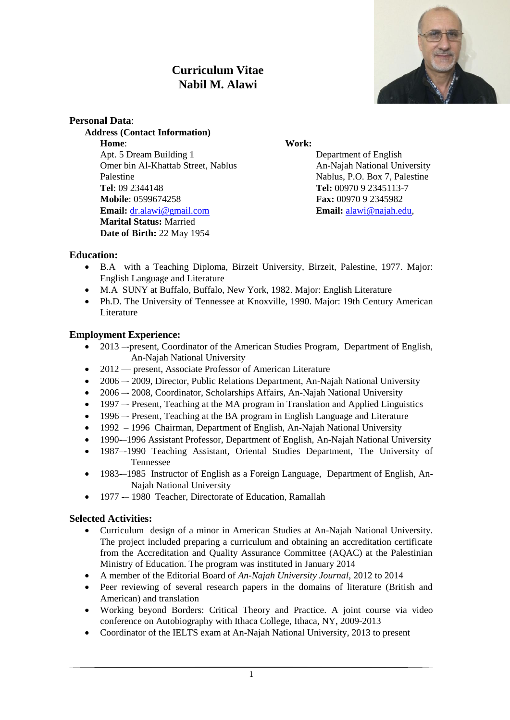# **Curriculum Vitae Nabil M. Alawi**



#### **Personal Data**:

**Address (Contact Information) Home**: **Work:** Apt. 5 Dream Building 1 Department of English Omer bin Al-Khattab Street, Nablus An-Najah National University Palestine Nablus, P.O. Box 7, Palestine **Tel**: 09 2344148 **Tel:** 00970 9 2345113-7 **Mobile**: 0599674258 **Fax:** 00970 9 2345982 **Email:** [dr.alawi@gmail.com](mailto:dr.alawi@gmail.com) **Email:** [alawi@najah.edu,](mailto:alawi@najah.edu) **Marital Status:** Married **Date of Birth:** 22 May 1954

#### **Education:**

- B.A with a Teaching Diploma, Birzeit University, Birzeit, Palestine, 1977. Major: English Language and Literature
- M.A SUNY at Buffalo, Buffalo, New York, 1982. Major: English Literature
- Ph.D. The University of Tennessee at Knoxville, 1990. Major: 19th Century American Literature

#### **Employment Experience:**

- 2013 –-present, Coordinator of the American Studies Program, Department of English, An-Najah National University
- 2012 present, Associate Professor of American Literature
- 2006 2009, Director, Public Relations Department, An-Najah National University
- 2006 -- 2008, Coordinator, Scholarships Affairs, An-Najah National University
- 1997 –- Present, Teaching at the MA program in Translation and Applied Linguistics
- 1996 –- Present, Teaching at the BA program in English Language and Literature
- 1992 1996 Chairman, Department of English, An-Najah National University
- 1990-–1996 Assistant Professor, Department of English, An-Najah National University
- 1987–-1990 Teaching Assistant, Oriental Studies Department, The University of Tennessee
- 1983-–1985 Instructor of English as a Foreign Language, Department of English, An-Najah National University
- 1977 -– 1980 Teacher, Directorate of Education, Ramallah

### **Selected Activities:**

- Curriculum design of a minor in American Studies at An-Najah National University. The project included preparing a curriculum and obtaining an accreditation certificate from the Accreditation and Quality Assurance Committee (AQAC) at the Palestinian Ministry of Education. The program was instituted in January 2014
- A member of the Editorial Board of *An-Najah University Journal*, 2012 to 2014
- Peer reviewing of several research papers in the domains of literature (British and American) and translation
- Working beyond Borders: Critical Theory and Practice. A joint course via video conference on Autobiography with Ithaca College, Ithaca, NY, 2009-2013
- Coordinator of the IELTS exam at An-Najah National University, 2013 to present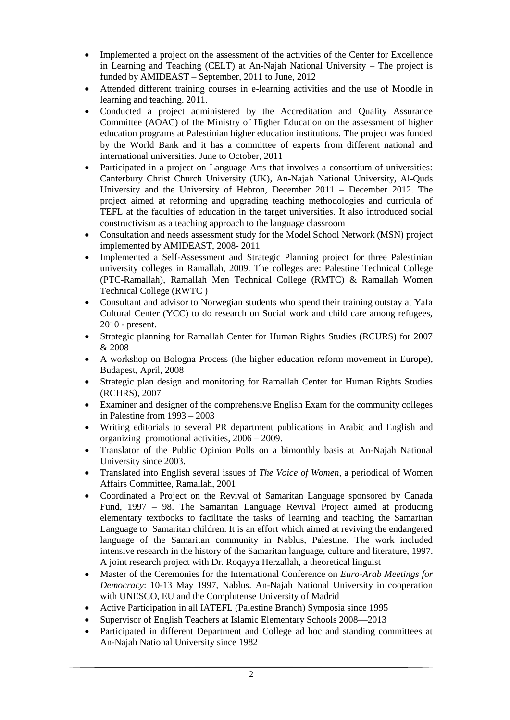- Implemented a project on the assessment of the activities of the Center for Excellence in Learning and Teaching (CELT) at An-Najah National University – The project is funded by AMIDEAST – September, 2011 to June, 2012
- Attended different training courses in e-learning activities and the use of Moodle in learning and teaching. 2011.
- Conducted a project administered by the Accreditation and Quality Assurance Committee (AOAC) of the Ministry of Higher Education on the assessment of higher education programs at Palestinian higher education institutions. The project was funded by the World Bank and it has a committee of experts from different national and international universities. June to October, 2011
- Participated in a project on Language Arts that involves a consortium of universities: Canterbury Christ Church University (UK), An-Najah National University, Al-Quds University and the University of Hebron, December 2011 – December 2012. The project aimed at reforming and upgrading teaching methodologies and curricula of TEFL at the faculties of education in the target universities. It also introduced social constructivism as a teaching approach to the language classroom
- Consultation and needs assessment study for the Model School Network (MSN) project implemented by AMIDEAST, 2008- 2011
- Implemented a Self-Assessment and Strategic Planning project for three Palestinian university colleges in Ramallah, 2009. The colleges are: Palestine Technical College (PTC-Ramallah), Ramallah Men Technical College (RMTC) & Ramallah Women Technical College (RWTC )
- Consultant and advisor to Norwegian students who spend their training outstay at Yafa Cultural Center (YCC) to do research on Social work and child care among refugees, 2010 - present.
- Strategic planning for Ramallah Center for Human Rights Studies (RCURS) for 2007 & 2008
- A workshop on Bologna Process (the higher education reform movement in Europe), Budapest, April, 2008
- Strategic plan design and monitoring for Ramallah Center for Human Rights Studies (RCHRS), 2007
- Examiner and designer of the comprehensive English Exam for the community colleges in Palestine from 1993 – 2003
- Writing editorials to several PR department publications in Arabic and English and organizing promotional activities, 2006 – 2009.
- Translator of the Public Opinion Polls on a bimonthly basis at An-Najah National University since 2003.
- Translated into English several issues of *The Voice of Women,* a periodical of Women Affairs Committee, Ramallah, 2001
- Coordinated a Project on the Revival of Samaritan Language sponsored by Canada Fund, 1997 – 98. The Samaritan Language Revival Project aimed at producing elementary textbooks to facilitate the tasks of learning and teaching the Samaritan Language to Samaritan children. It is an effort which aimed at reviving the endangered language of the Samaritan community in Nablus, Palestine. The work included intensive research in the history of the Samaritan language, culture and literature, 1997. A joint research project with Dr. Roqayya Herzallah, a theoretical linguist
- Master of the Ceremonies for the International Conference on *Euro-Arab Meetings for Democracy*: 10-13 May 1997, Nablus. An-Najah National University in cooperation with UNESCO, EU and the Complutense University of Madrid
- Active Participation in all IATEFL (Palestine Branch) Symposia since 1995
- Supervisor of English Teachers at Islamic Elementary Schools 2008—2013
- Participated in different Department and College ad hoc and standing committees at An-Najah National University since 1982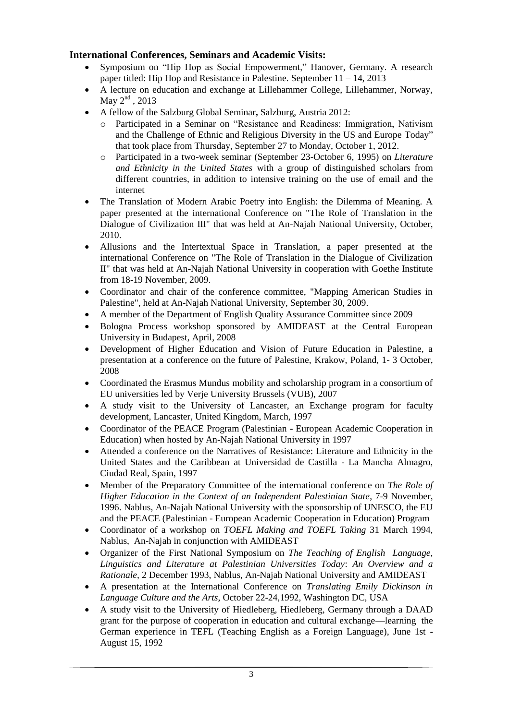## **International Conferences, Seminars and Academic Visits:**

- Symposium on "Hip Hop as Social Empowerment," Hanover, Germany. A research paper titled: Hip Hop and Resistance in Palestine. September 11 – 14, 2013
- A lecture on education and exchange at Lillehammer College, Lillehammer, Norway, May  $2<sup>nd</sup>$ , 2013
- A fellow of the Salzburg Global Seminar**,** Salzburg, Austria 2012:
	- o Participated in a Seminar on "Resistance and Readiness: Immigration, Nativism and the Challenge of Ethnic and Religious Diversity in the US and Europe Today" that took place from Thursday, September 27 to Monday, October 1, 2012.
	- o Participated in a two-week seminar (September 23-October 6, 1995) on *Literature and Ethnicity in the United States* with a group of distinguished scholars from different countries, in addition to intensive training on the use of email and the internet
- The Translation of Modern Arabic Poetry into English: the Dilemma of Meaning. A paper presented at the international Conference on "The Role of Translation in the Dialogue of Civilization III" that was held at An-Najah National University, October, 2010.
- Allusions and the Intertextual Space in Translation, a paper presented at the international Conference on "The Role of Translation in the Dialogue of Civilization II" that was held at An-Najah National University in cooperation with Goethe Institute from 18-19 November, 2009.
- Coordinator and chair of the conference committee, "Mapping American Studies in Palestine", held at An-Najah National University, September 30, 2009.
- A member of the Department of English Quality Assurance Committee since 2009
- Bologna Process workshop sponsored by AMIDEAST at the Central European University in Budapest, April, 2008
- Development of Higher Education and Vision of Future Education in Palestine, a presentation at a conference on the future of Palestine, Krakow, Poland, 1- 3 October, 2008
- Coordinated the Erasmus Mundus mobility and scholarship program in a consortium of EU universities led by Verje University Brussels (VUB), 2007
- A study visit to the University of Lancaster, an Exchange program for faculty development, Lancaster, United Kingdom, March, 1997
- Coordinator of the PEACE Program (Palestinian European Academic Cooperation in Education) when hosted by An-Najah National University in 1997
- Attended a conference on the Narratives of Resistance: Literature and Ethnicity in the United States and the Caribbean at Universidad de Castilla - La Mancha Almagro, Ciudad Real, Spain, 1997
- Member of the Preparatory Committee of the international conference on *The Role of Higher Education in the Context of an Independent Palestinian State*, 7-9 November, 1996. Nablus, An-Najah National University with the sponsorship of UNESCO, the EU and the PEACE (Palestinian - European Academic Cooperation in Education) Program
- Coordinator of a workshop on *TOEFL Making and TOEFL Taking* 31 March 1994, Nablus, An-Najah in conjunction with AMIDEAST
- Organizer of the First National Symposium on *The Teaching of English Language, Linguistics and Literature at Palestinian Universities Today*: *An Overview and a Rationale,* 2 December 1993, Nablus, An-Najah National University and AMIDEAST
- A presentation at the International Conference on *Translating Emily Dickinson in Language Culture and the Arts*, October 22-24,1992, Washington DC, USA
- A study visit to the University of Hiedleberg, Hiedleberg, Germany through a DAAD grant for the purpose of cooperation in education and cultural exchange—learning the German experience in TEFL (Teaching English as a Foreign Language), June 1st - August 15, 1992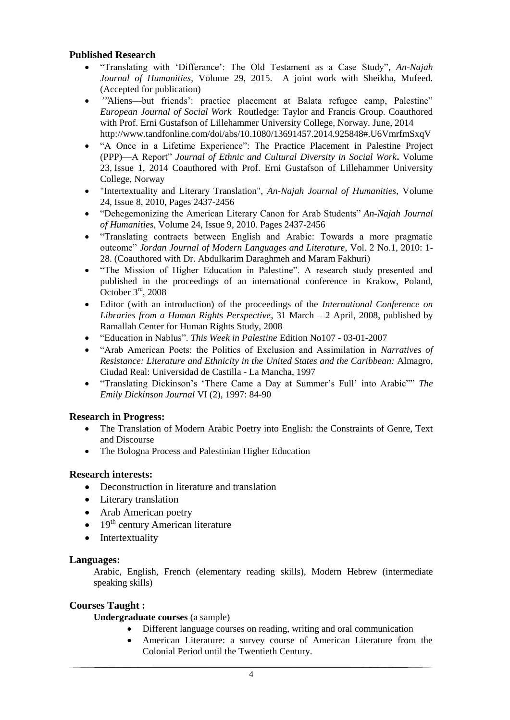#### **Published Research**

- "Translating with 'Differance': The Old Testament as a Case Study", *An-Najah Journal of Humanities*, Volume 29, 2015. A joint work with Sheikha, Mufeed. (Accepted for publication)
- "Aliens—but friends': practice placement at Balata refugee camp, Palestine" *European Journal of Social Work* Routledge: Taylor and Francis Group. Coauthored with Prof. Erni Gustafson of Lillehammer University College, Norway. June, 2014 http://www.tandfonline.com/doi/abs/10.1080/13691457.2014.925848#.U6VmrfmSxqV
- ―A Once in a Lifetime Experience‖: The Practice Placement in Palestine Project (PPP)—AReport‖ *Journal of Ethnic and Cultural Diversity in Social Work***.** [Volume](http://www.tandfonline.com/loi/wecd20?open=23#vol_23)  [23,](http://www.tandfonline.com/loi/wecd20?open=23#vol_23) [Issue 1,](http://www.tandfonline.com/toc/wecd20/23/1) 2014 Coauthored with Prof. Erni Gustafson of Lillehammer University College, Norway
- "Intertextuality and Literary Translation", *An-Najah Journal of Humanities*, Volume 24, Issue 8, 2010, Pages 2437-2456
- "Dehegemonizing the American Literary Canon for Arab Students" *An-Najah Journal of Humanities*, Volume 24, Issue 9, 2010. Pages 2437-2456
- ―Translating contracts between English and Arabic: Towards a more pragmatic outcome‖*Jordan Journal of Modern Languages and Literature*, Vol. 2 No.1, 2010: 1- 28. (Coauthored with Dr. Abdulkarim Daraghmeh and Maram Fakhuri)
- "The Mission of Higher Education in Palestine". A research study presented and published in the proceedings of an international conference in Krakow, Poland, October  $3<sup>rd</sup>$ , 2008
- Editor (with an introduction) of the proceedings of the *International Conference on Libraries from a Human Rights Perspective*, 31 March – 2 April, 2008, published by Ramallah Center for Human Rights Study, 2008
- ―EducationinNablus‖.*This Week in Palestine* Edition No107 03-01-2007
- ―Arab American Poets: the Politics of Exclusion and Assimilation in *Narratives of Resistance: Literature and Ethnicity in the United States and the Caribbean:* Almagro, Ciudad Real: Universidad de Castilla - La Mancha, 1997
- "Translating Dickinson's 'There Came a Day at Summer's Full' into Arabic<sup></sup>" The *Emily Dickinson Journal* VI (2), 1997: 84-90

### **Research in Progress:**

- The Translation of Modern Arabic Poetry into English: the Constraints of Genre, Text and Discourse
- The Bologna Process and Palestinian Higher Education

#### **Research interests:**

- Deconstruction in literature and translation
- Literary translation
- Arab American poetry
- $\bullet$  19<sup>th</sup> century American literature
- Intertextuality

#### **Languages:**

Arabic, English, French (elementary reading skills), Modern Hebrew (intermediate speaking skills)

#### **Courses Taught :**

**Undergraduate courses** (a sample)

- Different language courses on reading, writing and oral communication
- American Literature: a survey course of American Literature from the Colonial Period until the Twentieth Century.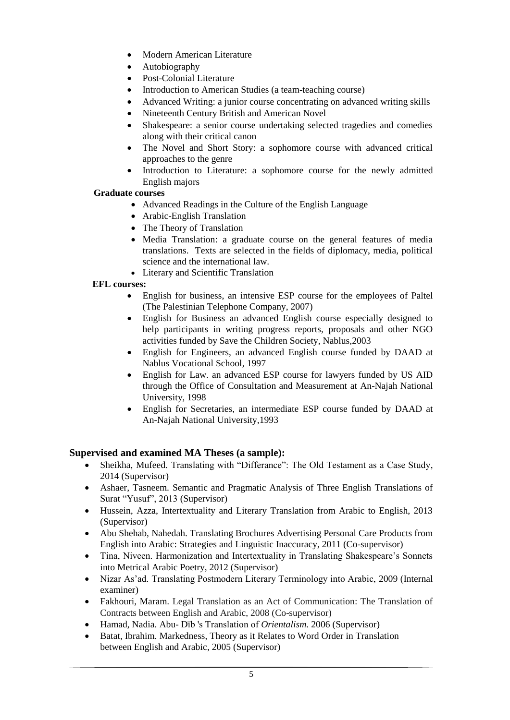- Modern American Literature
- Autobiography
- Post-Colonial Literature
- Introduction to American Studies (a team-teaching course)
- Advanced Writing: a junior course concentrating on advanced writing skills
- Nineteenth Century British and American Novel
- Shakespeare: a senior course undertaking selected tragedies and comedies along with their critical canon
- The Novel and Short Story: a sophomore course with advanced critical approaches to the genre
- Introduction to Literature: a sophomore course for the newly admitted English majors

#### **Graduate courses**

- Advanced Readings in the Culture of the English Language
- Arabic-English Translation
- The Theory of Translation
- Media Translation: a graduate course on the general features of media translations. Texts are selected in the fields of diplomacy, media, political science and the international law.
- Literary and Scientific Translation

#### **EFL courses:**

- English for business, an intensive ESP course for the employees of Paltel (The Palestinian Telephone Company, 2007)
- English for Business an advanced English course especially designed to help participants in writing progress reports, proposals and other NGO activities funded by Save the Children Society, Nablus,2003
- English for Engineers, an advanced English course funded by DAAD at Nablus Vocational School, 1997
- English for Law. an advanced ESP course for lawyers funded by US AID through the Office of Consultation and Measurement at An-Najah National University, 1998
- English for Secretaries, an intermediate ESP course funded by DAAD at An-Najah National University,1993

### **Supervised and examined MA Theses (a sample):**

- Sheikha, Mufeed. Translating with "Differance": The Old Testament as a Case Study, 2014 (Supervisor)
- Ashaer, Tasneem. Semantic and Pragmatic Analysis of Three English Translations of Surat "Yusuf", 2013 (Supervisor)
- Hussein, Azza, Intertextuality and Literary Translation from Arabic to English, 2013 (Supervisor)
- Abu Shehab, Nahedah. Translating Brochures Advertising Personal Care Products from English into Arabic: Strategies and Linguistic Inaccuracy, 2011 (Co-supervisor)
- Tina, Niveen. Harmonization and Intertextuality in Translating Shakespeare's Sonnets into Metrical Arabic Poetry, 2012 (Supervisor)
- Nizar As'ad. Translating Postmodern Literary Terminology into Arabic, 2009 (Internal examiner)
- Fakhouri, Maram. Legal Translation as an Act of Communication: The Translation of Contracts between English and Arabic, 2008 (Co-supervisor)
- Hamad, Nadia. Abu- Dīb 's Translation of *Orientalism*. 2006 (Supervisor)
- Batat, Ibrahim. [Markedness, Theory as it Relates to Word Order in Translation](http://www.najah.edu/nnu_portal/thesis/5171602.pdf)  [between English and Arabic,](http://www.najah.edu/nnu_portal/thesis/5171602.pdf) 2005 (Supervisor)